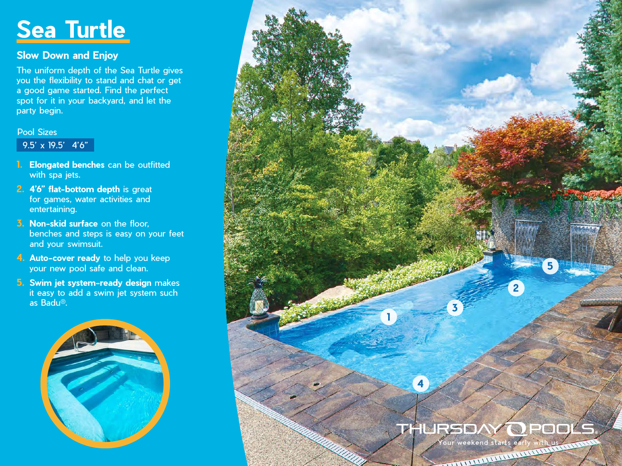# **Sea Turtle**

## **Slow Down and Enjoy**

The uniform depth of the Sea Turtle gives you the flexibility to stand and chat or get a good game started. Find the perfect spot for it in your backyard, and let the party begin.

#### Pool Sizes

### $\overline{9.5' \times 19.5'}$  4'6"

- **1. Elongated benches** can be outfitted with spa jets.
- **2. 4'6" flat-bottom depth** is great for games, water activities and entertaining.
- **3. Non-skid surface** on the floor, benches and steps is easy on your feet and your swimsuit.
- **4. Auto-cover ready** to help you keep your new pool safe and clean.
- **5. Swim jet system-ready design** makes it easy to add a swim jet system such as Badu®.